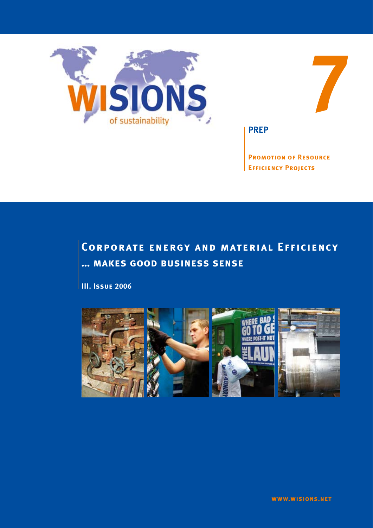



**PREP**

**Promotion of Resource Efficiency Projects**

# **Corporate energy and material Efficiency … makes good business sense**

**III. Issue 2006**

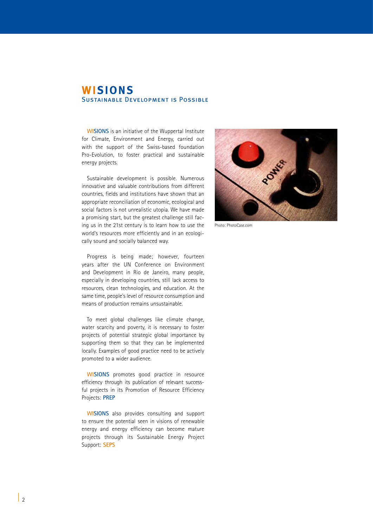## **WISIONS** Sustainable Development is Possible

**WISIONS** is an initiative of the Wuppertal Institute for Climate, Environment and Energy, carried out with the support of the Swiss-based foundation Pro-Evolution, to foster practical and sustainable energy projects.

Sustainable development is possible. Numerous innovative and valuable contributions from different countries, fields and institutions have shown that an appropriate reconciliation of economic, ecological and social factors is not unrealistic utopia. We have made a promising start, but the greatest challenge still facing us in the 21st century is to learn how to use the world's resources more efficiently and in an ecologically sound and socially balanced way.

Progress is being made; however, fourteen years after the UN Conference on Environment and Development in Rio de Janeiro, many people, especially in developing countries, still lack access to resources, clean technologies, and education. At the same time, people's level of resource consumption and means of production remains unsustainable.

To meet global challenges like climate change, water scarcity and poverty, it is necessary to foster projects of potential strategic global importance by supporting them so that they can be implemented locally. Examples of good practice need to be actively promoted to a wider audience.

**WISIONS** promotes good practice in resource efficiency through its publication of relevant successful projects in its Promotion of Resource Efficiency Projects: **PREP**

**WISIONS** also provides consulting and support to ensure the potential seen in visions of renewable energy and energy efficiency can become mature projects through its Sustainable Energy Project Support: **SEPS**



Photo: PhotoCase.com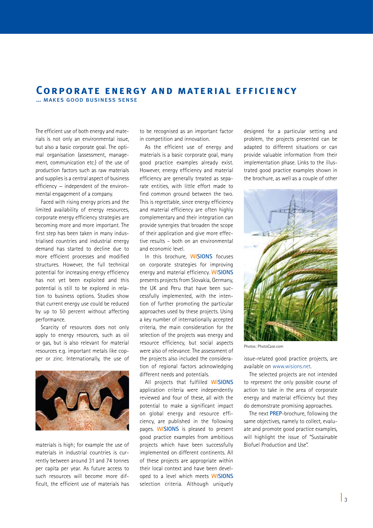## **Corpor ate energy and material efficiency**

… makes good business sense

The efficient use of both energy and materials is not only an environmental issue, but also a basic corporate goal. The optimal organisation (assessment, management, communication etc.) of the use of production factors such as raw materials and supplies is a central aspect of business efficiency — independent of the environmental engagement of a company.

Faced with rising energy prices and the limited availability of energy resources, corporate energy efficiency strategies are becoming more and more important. The first step has been taken in many industrialised countries and industrial energy demand has started to decline due to more efficient processes and modified structures. However, the full technical potential for increasing energy efficiency has not yet been exploited and this potential is still to be explored in relation to business options. Studies show that current energy use could be reduced by up to 50 percent without affecting performance.

Scarcity of resources does not only apply to energy resources, such as oil or gas, but is also relevant for material resources e.g. important metals like copper or zinc. Internationally, the use of



materials is high; for example the use of materials in industrial countries is currently between around 31 and 74 tonnes per capita per year. As future access to such resources will become more difficult, the efficient use of materials has

to be recognised as an important factor in competition and innovation.

As the efficient use of energy and materials is a basic corporate goal, many good practice examples already exist. However, energy efficiency and material efficiency are generally treated as separate entities, with little effort made to find common ground between the two. This is regrettable, since energy efficiency and material efficiency are often highly complementary and their integration can provide synergies that broaden the scope of their application and give more effective results – both on an environmental and economic level.

In this brochure, **WISIONS** focuses on corporate strategies for improving energy and material efficiency. **WISIONS** presents projects from Slovakia, Germany, the UK and Peru that have been successfully implemented, with the intention of further promoting the particular approaches used by these projects. Using a key number of internationally accepted criteria, the main consideration for the selection of the projects was energy and resource efficiency, but social aspects were also of relevance. The assessment of the projects also included the consideration of regional factors acknowledging different needs and potentials.

All projects that fulfilled **WISIONS** application criteria were independently reviewed and four of these, all with the potential to make a significant impact on global energy and resource efficiency, are published in the following pages. **WISIONS** is pleased to present good practice examples from ambitious projects which have been successfully implemented on different continents. All of these projects are appropriate within their local context and have been developed to a level which meets **WISIONS** selection criteria. Although uniquely

designed for a particular setting and problem, the projects presented can be adapted to different situations or can provide valuable information from their implementation phase. Links to the illustrated good practice examples shown in the brochure, as well as a couple of other



Photos: PhotoCase.com

issue-related good practice projects, are available on www.wisions.net.

The selected projects are not intended to represent the only possible course of action to take in the area of corporate energy and material efficiency but they do demonstrate promising approaches.

The next **PREP**-brochure, following the same objectives, namely to collect, evaluate and promote good practice examples, will highlight the issue of "Sustainable Biofuel Production and Use".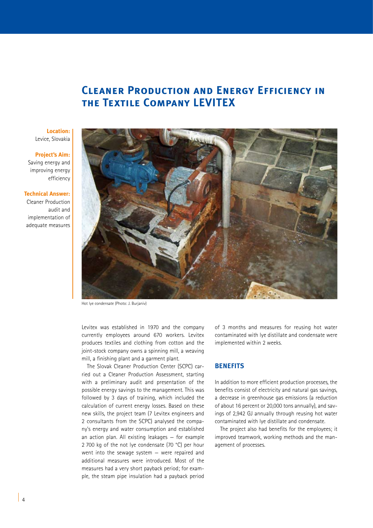# **Cleaner Production and Energy Efficiency in the Textile Company LEVITEX**

#### **Location:**  Levice, Slovakia

#### **Project's Aim:**

Saving energy and improving energy efficiency

#### **Technical Answer:**

Cleaner Production audit and implementation of adequate measures



Hot lye condensate (Photo: J. Burjaniv)

Levitex was established in 1970 and the company currently employees around 670 workers. Levitex produces textiles and clothing from cotton and the joint-stock company owns a spinning mill, a weaving mill, a finishing plant and a garment plant.

The Slovak Cleaner Production Center (SCPC) carried out a Cleaner Production Assessment, starting with a preliminary audit and presentation of the possible energy savings to the management. This was followed by 3 days of training, which included the calculation of current energy losses. Based on these new skills, the project team (7 Levitex engineers and 2 consultants from the SCPC) analysed the company's energy and water consumption and established an action plan. All existing leakages — for example 2 700 kg of the not lye condensate (70 °C) per hour went into the sewage system — were repaired and additional measures were introduced. Most of the measures had a very short payback period; for example, the steam pipe insulation had a payback period

of 3 months and measures for reusing hot water contaminated with lye distillate and condensate were implemented within 2 weeks.

### **BENEFITS**

In addition to more efficient production processes, the benefits consist of electricity and natural gas savings, a decrease in greenhouse gas emissions (a reduction of about 16 percent or 20,000 tons annually), and savings of 2,942 GJ annually through reusing hot water contaminated with lye distillate and condensate.

The project also had benefits for the employees; it improved teamwork, working methods and the management of processes.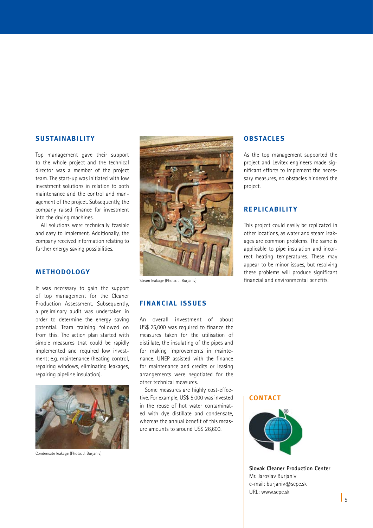## **SUSTAINABILITY**

Top management gave their support to the whole project and the technical director was a member of the project team. The start-up was initiated with low investment solutions in relation to both maintenance and the control and management of the project. Subsequently, the company raised finance for investment into the drying machines.

All solutions were technically feasible and easy to implement. Additionally, the company received information relating to further energy saving possibilities.

## **METHODOLOGY**

It was necessary to gain the support of top management for the Cleaner Production Assessment. Subsequently, a preliminary audit was undertaken in order to determine the energy saving potential. Team training followed on from this. The action plan started with simple measures that could be rapidly implemented and required low investment; e.g. maintenance (heating control, repairing windows, eliminating leakages, repairing pipeline insulation).



Condensate leakage (Photo: J. Burjaniv)



Steam leakage (Photo: J. Burjaniv)

## **FINANCIAL ISSUE S**

An overall investment of about US\$ 25,000 was required to finance the measures taken for the utilisation of distillate, the insulating of the pipes and for making improvements in maintenance. UNEP assisted with the finance for maintenance and credits or leasing arrangements were negotiated for the other technical measures.

Some measures are highly cost-effective. For example, US\$ 5,000 was invested in the reuse of hot water contaminated with dye distillate and condensate, whereas the annual benefit of this measure amounts to around US\$ 26,600.

**OBSTACLE S**

As the top management supported the project and Levitex engineers made significant efforts to implement the necessary measures, no obstacles hindered the project.

## **RE PLIC ABILIT Y**

This project could easily be replicated in other locations, as water and steam leakages are common problems. The same is applicable to pipe insulation and incorrect heating temperatures. These may appear to be minor issues, but resolving these problems will produce significant financial and environmental benefits.

#### **CONTACT**



**Slovak Cleaner Production Center** Mr. Jaroslav Burjaniv e-mail: burjaniv@scpc.sk URL: www.scpc.sk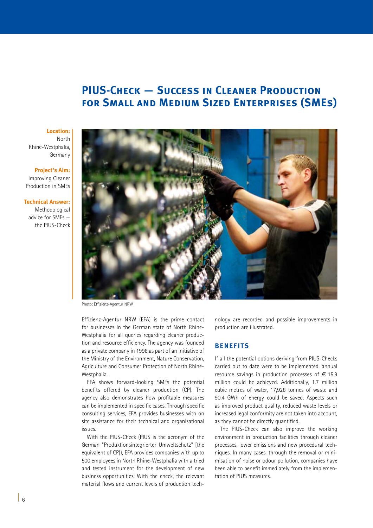## **PIUS-Check — Success in Cleaner Production for Small and Medium Sized Enterprises (SMEs)**

#### **Location:**

North Rhine-Westphalia, Germany

#### **Project's Aim:**

 Improving Cleaner Production in SMEs

#### **Technical Answer:**

Methodological advice for SMEs the PIUS-Check



Photo: Effizienz-Agentur NRW

Effizienz-Agentur NRW (EFA) is the prime contact for businesses in the German state of North Rhine-Westphalia for all queries regarding cleaner production and resource efficiency. The agency was founded as a private company in 1998 as part of an initiative of the Ministry of the Environment, Nature Conservation, Agriculture and Consumer Protection of North Rhine-Westphalia.

EFA shows forward-looking SMEs the potential benefits offered by cleaner production (CP). The agency also demonstrates how profitable measures can be implemented in specific cases. Through specific consulting services, EFA provides businesses with on site assistance for their technical and organisational issues.

With the PIUS-Check (PIUS is the acronym of the German "Produktionsintegrierter Umweltschutz" [the equivalent of CP]), EFA provides companies with up to 500 employees in North Rhine-Westphalia with a tried and tested instrument for the development of new business opportunities. With the check, the relevant material flows and current levels of production tech-

nology are recorded and possible improvements in production are illustrated.

## **BENEFITS**

If all the potential options deriving from PIUS-Checks carried out to date were to be implemented, annual resource savings in production processes of  $\epsilon$  15.9 million could be achieved. Additionally, 1.7 million cubic metres of water, 17,928 tonnes of waste and 90.4 GWh of energy could be saved. Aspects such as improved product quality, reduced waste levels or increased legal conformity are not taken into account, as they cannot be directly quantified.

The PIUS-Check can also improve the working environment in production facilities through cleaner processes, lower emissions and new procedural techniques. In many cases, through the removal or minimisation of noise or odour pollution, companies have been able to benefit immediately from the implementation of PIUS measures.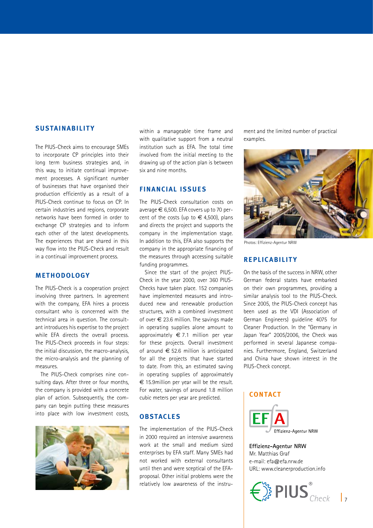### **SUSTAINABILITY**

The PIUS-Check aims to encourage SMEs to incorporate CP principles into their long term business strategies and, in this way, to initiate continual improvement processes. A significant number of businesses that have organised their production efficiently as a result of a PIUS-Check continue to focus on CP. In certain industries and regions, corporate networks have been formed in order to exchange CP strategies and to inform each other of the latest developments. The experiences that are shared in this way flow into the PIUS-Check and result in a continual improvement process.

## **METHODOLOGY**

The PIUS-Check is a cooperation project involving three partners. In agreement with the company, EFA hires a process consultant who is concerned with the technical area in question. The consultant introduces his expertise to the project while EFA directs the overall process. The PIUS-Check proceeds in four steps: the initial discussion, the macro-analysis, the micro-analysis and the planning of measures.

The PIUS-Check comprises nine consulting days. After three or four months, the company is provided with a concrete plan of action. Subsequently, the company can begin putting these measures into place with low investment costs,



within a manageable time frame and with qualitative support from a neutral institution such as EFA. The total time involved from the initial meeting to the drawing up of the action plan is between six and nine months.

## **FINANCIAL ISSUE S**

The PIUS-Check consultation costs on average € 6,500. EFA covers up to 70 percent of the costs (up to  $\in$  4,500), plans and directs the project and supports the company in the implementation stage. In addition to this, EFA also supports the company in the appropriate financing of the measures through accessing suitable funding programmes.

Since the start of the project PIUS-Check in the year 2000, over 360 PIUS-Checks have taken place. 152 companies have implemented measures and introduced new and renewable production structures, with a combined investment of over  $\epsilon$  23.6 million. The savings made in operating supplies alone amount to approximately  $\epsilon$  7.1 million per year for these projects. Overall investment of around  $\epsilon$  52.6 million is anticipated for all the projects that have started to date. From this, an estimated saving in operating supplies of approximately  $\epsilon$  15.9 million per year will be the result. For water, savings of around 1.8 million cubic meters per year are predicted.

#### **OBSTACLE S**

The implementation of the PIUS-Check in 2000 required an intensive awareness work at the small and medium sized enterprises by EFA staff. Many SMEs had not worked with external consultants until then and were sceptical of the EFAproposal. Other initial problems were the relatively low awareness of the instrument and the limited number of practical examples.



Photos: Effizienz-Agentur NRW

## **RE PLIC ABILIT Y**

On the basis of the success in NRW, other German federal states have embarked on their own programmes, providing a similar analysis tool to the PIUS-Check. Since 2005, the PIUS-Check concept has been used as the VDI (Association of German Engineers) guideline 4075 for Cleaner Production. In the "Germany in Japan Year" 2005/2006, the Check was performed in several Japanese companies. Furthermore, England, Switzerland and China have shown interest in the PIUS-Check concept.

## **CONTACT**



**Effizienz-Agentur NRW** Mr. Matthias Graf e-mail: efa@efa.nrw.de URL: www.cleanerproduction.info

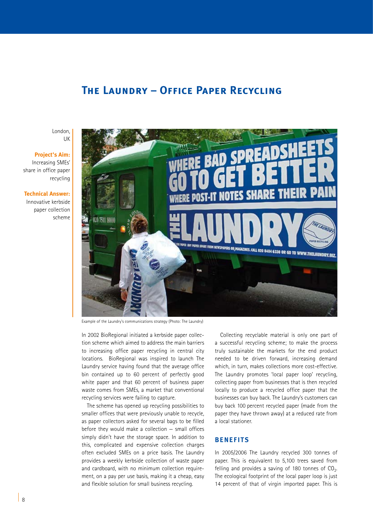## **The Laundry – Office Paper Recycling**

London, UK

## **Project's Aim:**  Increasing SMEs' share in office paper recycling

**Technical Answer:** 

Innovative kerbside paper collection scheme



Example of the Laundry's communications strategy (Photo: The Laundry)

In 2002 BioRegional initiated a kerbside paper collection scheme which aimed to address the main barriers to increasing office paper recycling in central city locations. BioRegional was inspired to launch The Laundry service having found that the average office bin contained up to 60 percent of perfectly good white paper and that 60 percent of business paper waste comes from SMEs, a market that conventional recycling services were failing to capture.

The scheme has opened up recycling possibilities to smaller offices that were previously unable to recycle, as paper collectors asked for several bags to be filled before they would make a collection — small offices simply didn't have the storage space. In addition to this, complicated and expensive collection charges often excluded SMEs on a price basis. The Laundry provides a weekly kerbside collection of waste paper and cardboard, with no minimum collection requirement, on a pay per use basis, making it a cheap, easy and flexible solution for small business recycling.

Collecting recyclable material is only one part of a successful recycling scheme; to make the process truly sustainable the markets for the end product needed to be driven forward, increasing demand which, in turn, makes collections more cost-effective. The Laundry promotes 'local paper loop' recycling, collecting paper from businesses that is then recycled locally to produce a recycled office paper that the businesses can buy back. The Laundry's customers can buy back 100 percent recycled paper (made from the paper they have thrown away) at a reduced rate from a local stationer.

#### **BENEFITS**

In 2005/2006 The Laundry recycled 300 tonnes of paper. This is equivalent to 5,100 trees saved from felling and provides a saving of 180 tonnes of  $CO<sub>2</sub>$ . The ecological footprint of the local paper loop is just 14 percent of that of virgin imported paper. This is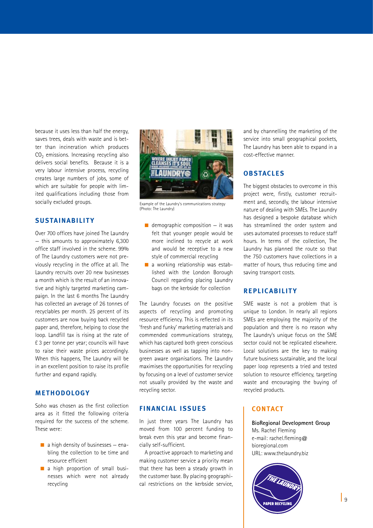because it uses less than half the energy, saves trees, deals with waste and is better than incineration which produces  $CO<sub>2</sub>$  emissions. Increasing recycling also delivers social benefits. Because it is a very labour intensive process, recycling creates large numbers of jobs, some of which are suitable for people with limited qualifications including those from socially excluded groups.

## **SUSTAINABILITY**

Over 700 offices have joined The Laundry — this amounts to approximately 6,300 office staff involved in the scheme. 99% of The Laundry customers were not previously recycling in the office at all. The Laundry recruits over 20 new businesses a month which is the result of an innovative and highly targeted marketing campaign. In the last 6 months The Laundry has collected an average of 26 tonnes of recyclables per month. 25 percent of its customers are now buying back recycled paper and, therefore, helping to close the loop. Landfill tax is rising at the rate of £ 3 per tonne per year; councils will have to raise their waste prices accordingly. When this happens, The Laundry will be in an excellent position to raise its profile further and expand rapidly.

## **METHODOLOGY**

Soho was chosen as the first collection area as it fitted the following criteria required for the success of the scheme. These were:

- $\blacksquare$  a high density of businesses enabling the collection to be time and resource efficient
- $\blacksquare$  a high proportion of small businesses which were not already recycling



Example of the Laundry's communications strategy (Photo: The Laundry)

- $\blacksquare$  demographic composition  $-$  it was felt that younger people would be more inclined to recycle at work and would be receptive to a new style of commercial recycling
- $\blacksquare$  a working relationship was established with the London Borough Council regarding placing Laundry bags on the kerbside for collection

The Laundry focuses on the positive aspects of recycling and promoting resource efficiency. This is reflected in its 'fresh and funky' marketing materials and commended communications strategy, which has captured both green conscious businesses as well as tapping into nongreen aware organisations. The Laundry maximises the opportunities for recycling by focusing on a level of customer service not usually provided by the waste and recycling sector.

## **FINANCIAL ISSUE S**

In just three years The Laundry has moved from 100 percent funding to break even this year and become financially self-sufficient.

A proactive approach to marketing and making customer service a priority mean that there has been a steady growth in the customer base. By placing geographical restrictions on the kerbside service,

and by channelling the marketing of the service into small geographical pockets, The Laundry has been able to expand in a cost-effective manner.

## **OBSTACLE S**

The biggest obstacles to overcome in this project were, firstly, customer recruitment and, secondly, the labour intensive nature of dealing with SMEs. The Laundry has designed a bespoke database which has streamlined the order system and uses automated processes to reduce staff hours. In terms of the collection, The Laundry has planned the route so that the 750 customers have collections in a matter of hours, thus reducing time and saving transport costs.

## **RE PLIC ABILIT Y**

SME waste is not a problem that is unique to London. In nearly all regions SMEs are employing the majority of the population and there is no reason why The Laundry's unique focus on the SME sector could not be replicated elsewhere. Local solutions are the key to making future business sustainable, and the local paper loop represents a tried and tested solution to resource efficiency, targeting waste and encouraging the buying of recycled products.

## **CONTACT**

**BioRegional Development Group** Ms. Rachel Fleming e-mail: rachel.fleming@ bioregional.com URL: www.thelaundry.biz

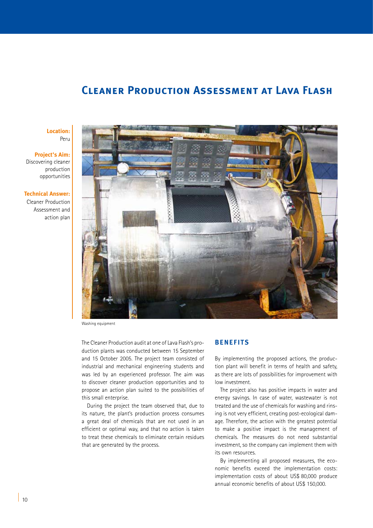## **Cleaner Production Assessment at Lava Flash**

## **Location:** Peru

#### **Project's Aim:**  Discovering cleaner production

opportunities

#### **Technical Answer:**

Cleaner Production Assessment and action plan



Washing equipment

The Cleaner Production audit at one of Lava Flash's production plants was conducted between 15 September and 15 October 2005. The project team consisted of industrial and mechanical engineering students and was led by an experienced professor. The aim was to discover cleaner production opportunities and to propose an action plan suited to the possibilities of this small enterprise.

During the project the team observed that, due to its nature, the plant's production process consumes a great deal of chemicals that are not used in an efficient or optimal way, and that no action is taken to treat these chemicals to eliminate certain residues that are generated by the process.

## **BENEFITS**

By implementing the proposed actions, the production plant will benefit in terms of health and safety, as there are lots of possibilities for improvement with low investment.

The project also has positive impacts in water and energy savings. In case of water, wastewater is not treated and the use of chemicals for washing and rinsing is not very efficient, creating post-ecological damage. Therefore, the action with the greatest potential to make a positive impact is the management of chemicals. The measures do not need substantial investment, so the company can implement them with its own resources.

By implementing all proposed measures, the economic benefits exceed the implementation costs: implementation costs of about US\$ 80,000 produce annual economic benefits of about US\$ 150,000.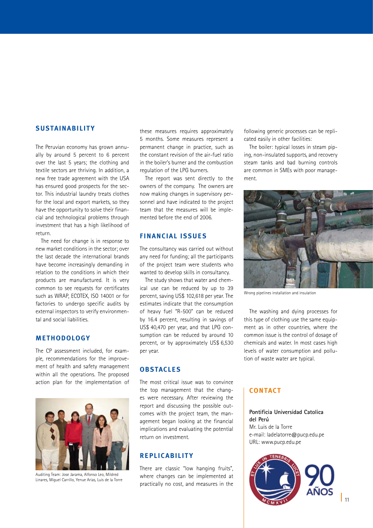## **SUSTAINABILITY**

The Peruvian economy has grown annually by around 5 percent to 6 percent over the last 5 years; the clothing and textile sectors are thriving. In addition, a new free trade agreement with the USA has ensured good prospects for the sector. This industrial laundry treats clothes for the local and export markets, so they have the opportunity to solve their financial and technological problems through investment that has a high likelihood of return.

The need for change is in response to new market conditions in the sector; over the last decade the international brands have become increasingly demanding in relation to the conditions in which their products are manufactured. It is very common to see requests for certificates such as WRAP, ECOTEX, ISO 14001 or for factories to undergo specific audits by external inspectors to verify environmental and social liabilities.

## **METHODOLOGY**

The CP assessment included, for example, recommendations for the improvement of health and safety management within all the operations. The proposed action plan for the implementation of



Auditing Team: Jose Jarama, Alfonso Leo, Mildred Linares, Miguel Carrillo, Yenue Arias, Luis de la Torre

these measures requires approximately 5 months. Some measures represent a permanent change in practice, such as the constant revision of the air-fuel ratio in the boiler's burner and the combustion regulation of the LPG burners.

The report was sent directly to the owners of the company. The owners are now making changes in supervisory personnel and have indicated to the project team that the measures will be implemented before the end of 2006.

## **FINANCIAL ISSUE S**

The consultancy was carried out without any need for funding; all the participants of the project team were students who wanted to develop skills in consultancy.

The study shows that water and chemical use can be reduced by up to 39 percent, saving US\$ 102,618 per year. The estimates indicate that the consumption of heavy fuel "R-500" can be reduced by 16.4 percent, resulting in savings of US\$ 40,470 per year, and that LPG consumption can be reduced by around 10 percent, or by approximately US\$ 6,530 per year.

## **OBSTACLES**

The most critical issue was to convince the top management that the changes were necessary. After reviewing the report and discussing the possible outcomes with the project team, the management began looking at the financial implications and evaluating the potential return on investment.

## **RE PLIC ABILIT Y**

There are classic "low hanging fruits", where changes can be implemented at practically no cost, and measures in the

following generic processes can be replicated easily in other facilities:

The boiler: typical losses in steam piping, non-insulated supports, and recovery steam tanks and bad burning controls are common in SMEs with poor management.



Wrong pipelines installation and insulation

The washing and dying processes for this type of clothing use the same equipment as in other countries, where the common issue is the control of dosage of chemicals and water. In most cases high levels of water consumption and pollution of waste water are typical.

## **CONTACT**

### **Pontificia Universidad Catolica del Perú** Mr. Luis de la Torre e-mail: ladelatorre@pucp.edu.pe URL: www.pucp.edu.pe